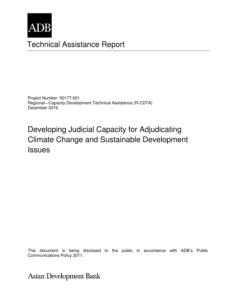

# Technical Assistance Report

Project Number: 50177-001 Regional—Capacity Development Technical Assistance (R-CDTA) December 2016

# Developing Judicial Capacity for Adjudicating Climate Change and Sustainable Development Issues

This document is being disclosed to the public in accordance with ADB's Public Communications Policy 2011.

Asian Development Bank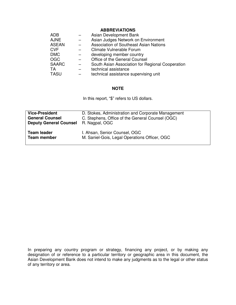#### **ABBREVIATIONS**

| <b>ADB</b>   | Asian Development Bank                           |
|--------------|--------------------------------------------------|
| <b>AJNE</b>  | Asian Judges Network on Environment              |
| <b>ASEAN</b> | <b>Association of Southeast Asian Nations</b>    |
| <b>CVF</b>   | Climate Vulnerable Forum                         |
| <b>DMC</b>   | developing member country                        |
| <b>OGC</b>   | Office of the General Counsel                    |
| <b>SAARC</b> | South Asian Association for Regional Cooperation |
| <b>TA</b>    | technical assistance                             |
| <b>TASU</b>  | technical assistance supervising unit            |

#### **NOTE**

In this report, "\$" refers to US dollars.

| <b>Vice-President</b>         | D. Stokes, Administration and Corporate Management |
|-------------------------------|----------------------------------------------------|
| <b>General Counsel</b>        | C. Stephens, Office of the General Counsel (OGC)   |
| <b>Deputy General Counsel</b> | R. Nagpal, OGC                                     |
| <b>Team leader</b>            | I. Ahsan, Senior Counsel, OGC                      |
| <b>Team member</b>            | M. Saniel-Gois, Legal Operations Officer, OGC      |

In preparing any country program or strategy, financing any project, or by making any designation of or reference to a particular territory or geographic area in this document, the Asian Development Bank does not intend to make any judgments as to the legal or other status of any territory or area.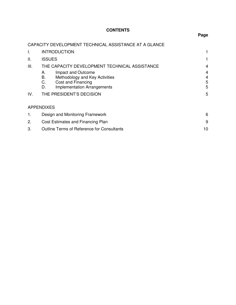# **CONTENTS**

# **Page**

# CAPACITY DEVELOPMENT TECHNICAL ASSISTANCE AT A GLANCE

| I.  | <b>INTRODUCTION</b>                                                                                                                      |                  |  |
|-----|------------------------------------------------------------------------------------------------------------------------------------------|------------------|--|
| ΙΙ. | <b>ISSUES</b>                                                                                                                            |                  |  |
| Ш.  | THE CAPACITY DEVELOPMENT TECHNICAL ASSISTANCE                                                                                            | 4                |  |
|     | Impact and Outcome<br>А.<br>В.<br>Methodology and Key Activities<br>C.<br>Cost and Financing<br><b>Implementation Arrangements</b><br>D. | 4<br>4<br>5<br>5 |  |
| IV. | THE PRESIDENT'S DECISION                                                                                                                 | 5                |  |
|     | <b>APPENDIXES</b>                                                                                                                        |                  |  |
| 1.  | Design and Monitoring Framework                                                                                                          |                  |  |
| 2.  | Cost Estimates and Financing Plan                                                                                                        |                  |  |
| 3.  | <b>Outline Terms of Reference for Consultants</b>                                                                                        | 10               |  |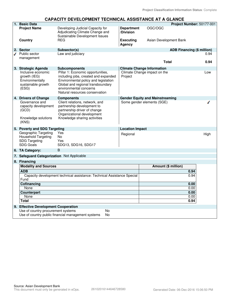#### **CAPACITY DEVELOPMENT TECHNICAL ASSISTANCE AT A GLANCE**

| 1. Basic Data                                                                           |                                                                                                                                                                                                                    |                                        | Project Number: 50177-001         |      |
|-----------------------------------------------------------------------------------------|--------------------------------------------------------------------------------------------------------------------------------------------------------------------------------------------------------------------|----------------------------------------|-----------------------------------|------|
| <b>Project Name</b>                                                                     | Developing Judicial Capacity for<br>Adjudicating Climate Change and<br>Sustainable Development Issues                                                                                                              | <b>Department</b><br>/Division         | OGC/OGC                           |      |
| Country                                                                                 | <b>REG</b>                                                                                                                                                                                                         | <b>Executing</b><br><b>Agency</b>      | Asian Development Bank            |      |
| 2. Sector                                                                               | Subsector(s)                                                                                                                                                                                                       |                                        | <b>ADB Financing (\$ million)</b> |      |
| Public sector                                                                           | Law and judiciary                                                                                                                                                                                                  |                                        |                                   | 0.94 |
| management                                                                              |                                                                                                                                                                                                                    |                                        | <b>Total</b>                      | 0.94 |
| 3. Strategic Agenda                                                                     | <b>Subcomponents</b>                                                                                                                                                                                               |                                        | <b>Climate Change Information</b> |      |
| Inclusive economic<br>growth (IEG)<br>Environmentally<br>sustainable growth<br>(ESG)    | Pillar 1: Economic opportunities,<br>including jobs, created and expanded<br>Environmental policy and legislation<br>Global and regional transboundary<br>environmental concerns<br>Natural resources conservation | Project                                | Climate Change impact on the      | Low  |
| 4. Drivers of Change                                                                    | <b>Components</b>                                                                                                                                                                                                  | <b>Gender Equity and Mainstreaming</b> |                                   |      |
| Governance and<br>capacity development<br>(GCD)<br>Knowledge solutions<br>(KNS)         | Client relations, network, and<br>partnership development to<br>partnership driver of change<br>Organizational development<br>Knowledge sharing activities                                                         |                                        | Some gender elements (SGE)        |      |
|                                                                                         |                                                                                                                                                                                                                    |                                        |                                   |      |
| 5. Poverty and SDG Targeting                                                            |                                                                                                                                                                                                                    | <b>Location Impact</b>                 |                                   |      |
| Geographic Targeting<br>Household Targeting<br><b>SDG Targeting</b><br><b>SDG Goals</b> | Yes<br><b>No</b><br>Yes<br>SDG13, SDG16, SDG17                                                                                                                                                                     | Regional                               |                                   | High |
| 6. TA Category:                                                                         | B                                                                                                                                                                                                                  |                                        |                                   |      |
| 7. Safeguard Categorization Not Applicable                                              |                                                                                                                                                                                                                    |                                        |                                   |      |
| 8. Financing                                                                            |                                                                                                                                                                                                                    |                                        |                                   |      |
| <b>Modality and Sources</b>                                                             |                                                                                                                                                                                                                    |                                        | Amount (\$ million)               |      |
| <b>ADB</b>                                                                              |                                                                                                                                                                                                                    |                                        | 0.94                              |      |
| Capacity development technical assistance: Technical Assistance Special                 |                                                                                                                                                                                                                    |                                        | 0.94                              |      |
| Fund                                                                                    |                                                                                                                                                                                                                    |                                        |                                   |      |
| <b>Cofinancing</b>                                                                      |                                                                                                                                                                                                                    |                                        | 0.00<br>0.00                      |      |
| None<br><b>Counterpart</b>                                                              |                                                                                                                                                                                                                    |                                        | 0.00                              |      |
| None                                                                                    |                                                                                                                                                                                                                    |                                        | 0.00                              |      |
| <b>Total</b>                                                                            |                                                                                                                                                                                                                    |                                        | 0.94                              |      |
| 9. Effective Development Cooperation                                                    |                                                                                                                                                                                                                    |                                        |                                   |      |
| Use of country procurement systems                                                      | No                                                                                                                                                                                                                 |                                        |                                   |      |
|                                                                                         | Use of country public financial management systems<br>No                                                                                                                                                           |                                        |                                   |      |
|                                                                                         |                                                                                                                                                                                                                    |                                        |                                   |      |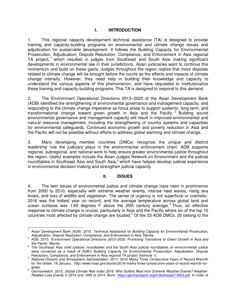#### **I. INTRODUCTION**

1. This regional capacity development technical assistance (TA) is designed to provide training and capacity-building programs on environmental and climate change issues and adjudication for sustainable development. It follows the Building Capacity for Environmental Prosecution, Adjudication, Dispute Resolution, Compliance, and Enforcement in Asia regional TA project,<sup>1</sup> which resulted in judges from Southeast and South Asia making significant developments in environmental law in their jurisdictions. Asian judiciaries want to continue this momentum and build on these gains. Judges throughout the region realize that more disputes related to climate change will be brought before the courts as the effects and impacts of climate change intensify. However, they need help in building their knowledge and capacity to understand the various aspects of this phenomenon, and have requested to institutionalize these training and capacity-building programs. This TA is designed to respond to this demand.

2. The Environment Operational Directions 2013–2020 of the Asian Development Bank (ADB) identified the strengthening of environmental governance and management capacity, and responding to the climate change imperative as focus areas to support systemic, long-term, and transformational change toward green growth in Asia and the Pacific.<sup>2</sup> Building sound environmental governance and management capacity will result in improved environmental and natural resource management, including the strengthening of country systems and capacities for environmental safeguards. Continued economic growth and poverty reduction in Asia and the Pacific will not be possible without efforts to address global warming and climate change.

3. Many developing member countries (DMCs) recognize the unique and distinct leadership role the judiciary plays in the environmental enforcement chain. ADB supports regional, subregional, and national work to help ensure greater environmental justice throughout the region. Useful examples include the Asian Judges Network on Environment and the judicial roundtables in Southeast Asia and South Asia, $3$  which have helped develop judicial experience in environmental decision-making and strengthen judicial capacity.

## **II. ISSUES**

4. The twin issues of environmental justice and climate change have risen in prominence from 2000 to 2010, especially with extreme weather events, intense heat waves, rising sea levels, and loss of wildlife and vegetation. The sense of urgency is not superficial or cosmetic: 2016 was the hottest year on record, and the average temperature across global land and ocean surfaces was 1.69 degrees  $F$  above the 20th century average.<sup>4</sup> Thus, an effective response to climate change is crucial, particularly in Asia and the Pacific where six of the top 10 countries most affected by climate change are located.<sup>5</sup> Of the 33 ADB DMCs, 20 belong to the

 $\overline{a}$ 

<sup>1</sup> Asian Development Bank (ADB). 2010. *Technical Assistance for Building Capacity for Environmental Prosecution, Adjudication, Dispute Resolution, Compliance, and Enforcement in Asia*. Manila*.*

<sup>2</sup> ADB. 2013. *Environment Operational Directions 2013–2020: Promoting Transitions to Green Growth in Asia and the Pacific*. Manila.

 $3$  The Southeast Asia chief justices' roundtables and the South Asia judicial roundtables on environmental justice were convened as a result of ADB's Building Capacity for Environmental Prosecution, Adjudication, Dispute Resolution, Compliance, and Enforcement in Asia regional TA project (footnote 1).

<sup>4</sup> *National Oceanic and Atmospheric Administration*. 2017. 2016 Marks Three Consecutive Years of Record Warmth for the Globe. 18 January. http://www.noaa.gov/stories/2016-marks-three-consecutive-years-of-record-warmth-for-

globe. 5 Germanwatch. 2015. *Global Climate Risk Index 2016: Who Suffers Most from Extreme Weather Events? Weather-Related Loss Events in 2014 and 1995 to 2014*. Bonn. [https://germanwatch.org/fr/download/13503.pdf.](https://germanwatch.org/fr/download/13503.pdf) In order of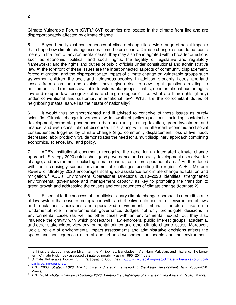Climate Vulnerable Forum  $(CVF)$ .<sup>6</sup> CVF countries are located in the climate front line and are disproportionately affected by climate change.

5. Beyond the typical consequences of climate change lie a wide range of social impacts that shape how climate change issues come before courts. Climate change issues do not come merely in the form of environmental cases; they may also be integrated within broader questions such as economic, political, and social rights; the legality of legislative and regulatory frameworks; and the rights and duties of public officials under constitutional and administrative law. At the forefront of these issues are the interconnected aspects of community displacement, forced migration, and the disproportionate impact of climate change on vulnerable groups such as women, children, the poor, and indigenous peoples. In addition, droughts, floods, and land losses from accretion and avulsion have given rise to new legal questions relating to entitlements and remedies available to vulnerable groups. That is, do international human rights law and refugee law recognize climate change refugees? If so, what are their rights (if any) under conventional and customary international law? What are the concomitant duties of neighboring states, as well as their state of nationality?

6. It would thus be short-sighted and ill-advised to conceive of these issues as purely scientific. Climate change traverses a wide swath of policy questions, including sustainable development, corporate governance, urban and rural planning, taxation, green investment and finance, and even constitutional discourse. This, along with the attendant economic and social consequences triggered by climate change (e.g., community displacement, loss of livelihood, decreased labor productivity), demonstrates the need for a multidisciplinary approach combining economics, science, law, and policy.

7. ADB's institutional documents recognize the need for an integrated climate change approach. Strategy 2020 establishes good governance and capacity development as a driver for change, and environment (including climate change) as a core operational area.<sup>7</sup> Further, faced with the increasingly serious environmental challenges besetting the region, ADB's Midterm Review of Strategy 2020 encourages scaling up assistance for climate change adaptation and mitigation. <sup>8</sup> ADB's Environment Operational Directions 2013–2020 identifies strengthened environmental governance and management capacity as key to promoting the transition to green growth and addressing the causes and consequences of climate change (footnote 2).

8. Essential to the success of a multidisciplinary climate change approach is a credible rule of law system that ensures compliance with, and effective enforcement of, environmental laws and regulations. Judiciaries and specialized environmental tribunals therefore take on a fundamental role in environmental governance. Judges not only promulgate decisions in environmental cases (as well as other cases with an environmental nexus), but they also influence the gravity with which prosecutors, law enforcers, public interest groups, academia, and other stakeholders view environmental crimes and other climate change issues. Moreover, judicial review of environmental impact assessments and administrative decisions affects the speed and consequences of rural and urban development on people and the environment.

 $\overline{a}$ 

ranking, the six countries are Myanmar, the Philippines, Bangladesh, Viet Nam, Pakistan, and Thailand. The Longterm Climate Risk Index assessed climate vulnerability using 1995–2014 data.

<sup>&</sup>lt;sup>6</sup> Climate Vulnerable Forum. CVF Participating Countries. [http://www.thecvf.org/web/climate-vulnerable-forum/cvf](http://www.thecvf.org/web/climate-vulnerable-forum/cvf-participating-countries/)[participating-countries/.](http://www.thecvf.org/web/climate-vulnerable-forum/cvf-participating-countries/)

<sup>7</sup> ADB. 2008. *Strategy 2020: The Long-Term Strategic Framework of the Asian Development Bank, 2008–2020.* Manila.

<sup>8</sup> ADB. 2014. *Midterm Review of Strategy 2020: Meeting the Challenges of a Transforming Asia and Pacific*. Manila.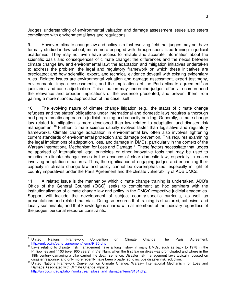Judges' understanding of environmental valuation and damage assessment issues also steers compliance with environmental laws and regulations.

9. However, climate change law and policy is a fast-evolving field that judges may not have formally studied in law school, much more engaged with through specialized training in judicial academies. They may not even have access to reliable and accurate information about the scientific basis and consequences of climate change; the differences and the nexus between climate change law and environmental law; the adaptation and mitigation initiatives undertaken to address the problem; the legal and regulatory framework on which these initiatives are predicated; and how scientific, expert, and technical evidence dovetail with existing evidentiary rules. Related issues are environmental valuation and damage assessment, expert testimony, environmental impact assessments, and the implications of the Paris climate agreement<sup>9</sup> on judiciaries and case adjudication. This situation may undermine judges' efforts to comprehend the relevance and broader implications of the evidence presented, and prevent them from gaining a more nuanced appreciation of the case itself.

10. The evolving nature of climate change litigation (e.g., the status of climate change refugees and the states' obligations under international and domestic law) requires a thorough and programmatic approach to judicial training and capacity building. Generally, climate change law related to mitigation is more developed than law related to adaptation and disaster risk management.<sup>10</sup> Further, climate science usually evolves faster than legislative and regulatory frameworks. Climate change adaptation in environmental law often also involves tightening current standards of environmental protection and damage prevention. This requires examining the legal implications of adaptation, loss, and damage in DMCs, particularly in the context of the Warsaw International Mechanism for Loss and Damage.<sup>11</sup> These factors necessitate that judges be apprised of international legal principles or other innovative tools that may be used to adjudicate climate change cases in the absence of clear domestic law, especially in cases involving adaptation measures. Thus, the significance of engaging judges and enhancing their capacity in climate change law and policy cannot be overemphasized, especially in light of country imperatives under the Paris Agreement and the climate vulnerability of ADB DMCs.

11. A related issue is the manner by which climate change training is undertaken. ADB's Office of the General Counsel (OGC) seeks to complement ad hoc seminars with the institutionalization of climate change law and policy in the DMCs' respective judicial academies. Support will include the development of subject country-specific curricula, as well as presentations and related materials. Doing so ensures that training is structured, cohesive, and locally sustainable, and that knowledge is shared with all members of the judiciary regardless of the judges' personal resource constraints.

[http://unfccc.int/adaptation/workstreams/loss\\_and\\_damage/items/8134.php.](http://unfccc.int/adaptation/workstreams/loss_and_damage/items/8134.php)

 $\overline{a}$ 9 United Nations Framework Convention on Climate Change. The Paris Agreement. [http://unfccc.int/paris\\_agreement/items/9485.php.](http://unfccc.int/paris_agreement/items/9485.php)

<sup>&</sup>lt;sup>10</sup> Laws relating to disaster risk management have a long history in many DMCs, such as back to 1978 in the Philippines and 1103 (over 900 years) in Viet Nam, when the first law on dikes was promulgated and where in the 19th century damaging a dike carried the death sentence. Disaster risk management laws typically focused on disaster response, and only more recently have been broadened to include disaster risk reduction.

<sup>11</sup> United Nations Framework Convention on Climate Change. Warsaw International Mechanism for Loss and Damage Associated with Climate Change Impacts.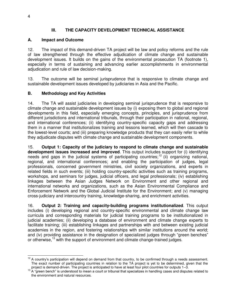#### **III. THE CAPACITY DEVELOPMENT TECHNICAL ASSISTANCE**

#### **A. Impact and Outcome**

12. The impact of this demand-driven TA project will be law and policy reforms and the rule of law strengthened through the effective adjudication of climate change and sustainable development issues. It builds on the gains of the environmental prosecution TA (footnote 1), especially in terms of sustaining and advancing earlier accomplishments in environmental adjudication and rule of law decision-making.

13. The outcome will be seminal jurisprudence that is responsive to climate change and sustainable development issues developed by judiciaries in Asia and the Pacific.

#### **B. Methodology and Key Activities**

14. The TA will assist judiciaries in developing seminal jurisprudence that is responsive to climate change and sustainable development issues by (i) exposing them to global and regional developments in this field, especially emerging concepts, principles, and jurisprudence from different jurisdictions and international tribunals, through their participation in national, regional, and international conferences; (ii) identifying country-specific capacity gaps and addressing them in a manner that institutionalizes training and lessons learned, which will then cascade to the lowest-level courts; and (iii) preparing knowledge products that they can easily refer to while they adjudicate disputes with climate change and sustainable development components.

15. **Output 1: Capacity of the judiciary to respond to climate change and sustainable development issues increased and improved**. This output includes support for (i) identifying needs and gaps in the judicial systems of participating countries;<sup>12</sup> (ii) organizing national, regional, and international conferences; and enabling the participation of judges, legal professionals, concerned government ministries, civil society organizations, and experts in related fields in such events; (iii) holding country-specific activities such as training programs, workshops, and seminars for judges, judicial officers, and legal professionals; (iv) establishing linkages between the Asian Judges Network on Environment and other regional and international networks and organizations, such as the Asian Environmental Compliance and Enforcement Network and the Global Judicial Institute for the Environment; and (v) managing cross-judiciary and intercountry training, knowledge-sharing, and enrichment activities.

16. **Output 2: Training and capacity-building programs institutionalized**. This output includes (i) developing regional and country-specific environmental and climate change law curricula and corresponding materials for judicial training programs to be institutionalized in judicial academies; (ii) developing a database of environment and climate change experts to facilitate training; (iii) establishing linkages and partnerships with and between existing judicial academies in the region, and fostering relationships with similar institutions around the world; and (iv) providing assistance in the designation of specialized judges through "green benches" or otherwise,<sup>13</sup> with the support of environment and climate change-trained judges.

 $\overline{a}$  $12$  A country's participation will depend on demand from that country, to be confirmed through a needs assessment. The exact number of participating countries in relation to the TA project is yet to be determined, given that the project is demand-driven. The project is anticipated to have at least four pilot countries for outputs 1–3.

 $13$  A "green bench" is understood to mean a court or tribunal that specializes in handling cases and disputes related to the environment and natural resources.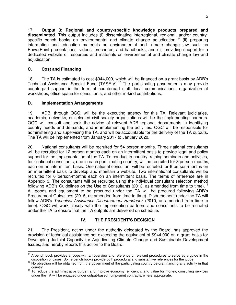17. **Output 3: Regional and country-specific knowledge products prepared and disseminated**. This output includes (i) disseminating interregional, regional, and/or countryspecific bench books on environmental and climate change adjudication; <sup>14</sup> (ii) preparing information and education materials on environmental and climate change law such as PowerPoint presentations, videos, brochures, and handbooks; and (iii) providing support for a dedicated website of resources and materials on environmental and climate change law and adjudication.

# **C. Cost and Financing**

18. The TA is estimated to cost \$944,000, which will be financed on a grant basis by ADB's Technical Assistance Special Fund (TASF-V).<sup>15</sup> The participating governments may provide counterpart support in the form of counterpart staff, local communications, organization of workshops, office space for consultants, and other in-kind contributions.

# **D. Implementation Arrangements**

19. ADB, through OGC, will be the executing agency for this TA. Relevant judiciaries, academia, networks, or selected civil society organizations will be the implementing partners. OGC will consult and seek the advice of relevant ADB regional departments in identifying country needs and demands, and in implementing the activities. OGC will be responsible for administering and supervising the TA, and will be accountable for the delivery of the TA outputs. The TA will be implemented from January 2017 to January 2020.

20. National consultants will be recruited for 54 person-months. Three national consultants will be recruited for 12 person-months each on an intermittent basis to provide legal and policy support for the implementation of the TA. To conduct in-country training seminars and activities, four national consultants, one in each participating country, will be recruited for 3 person-months, each on an intermittent basis. One national consultant will be recruited for 6 person-months on an intermittent basis to develop and maintain a website. Two international consultants will be recruited for 6 person-months each on an intermittent basis. The terms of reference are in Appendix 3. The consultants will be recruited using the individual consultant selection method following ADB's Guidelines on the Use of Consultants (2013, as amended from time to time).<sup>16</sup> All goods and equipment to be procured under the TA will be procured following ADB's Procurement Guidelines (2015, as amended from time to time). Disbursement under the TA will follow ADB's *Technical Assistance Disbursement Handbook* (2010, as amended from time to time). OGC will work closely with the implementing partners and consultants to be recruited under the TA to ensure that the TA outputs are delivered on schedule.

# **IV. THE PRESIDENT'S DECISION**

21. The President, acting under the authority delegated by the Board, has approved the provision of technical assistance not exceeding the equivalent of \$944,000 on a grant basis for Developing Judicial Capacity for Adjudicating Climate Change and Sustainable Development Issues, and hereby reports this action to the Board.

 $\overline{a}$ <sup>14</sup> A bench book provides a judge with an overview and reference of relevant procedures to serve as a guide in the disposition of cases. Some bench books provide both procedural and substantive references for the judge.

<sup>&</sup>lt;sup>15</sup> No objection will be obtained from the government of the participating country before financing any activity in that country.

<sup>&</sup>lt;sup>16</sup> To reduce the administrative burden and improve economy, efficiency, and value for money, consulting services under the TA will be engaged under output-based (lump-sum) contracts, where appropriate.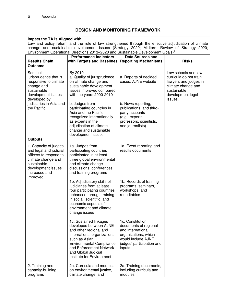# **DESIGN AND MONITORING FRAMEWORK**

| Impact the TA is Aligned with<br>Law and policy reform and the rule of law strengthened through the effective adjudication of climate<br>change and sustainable development issues (Strategy 2020; Midterm Review of Strategy 2020; |                                                                                                                                                                                                                                               |                                                                                                                                                     |                                                                                                                                             |  |
|-------------------------------------------------------------------------------------------------------------------------------------------------------------------------------------------------------------------------------------|-----------------------------------------------------------------------------------------------------------------------------------------------------------------------------------------------------------------------------------------------|-----------------------------------------------------------------------------------------------------------------------------------------------------|---------------------------------------------------------------------------------------------------------------------------------------------|--|
|                                                                                                                                                                                                                                     | Environment Operational Directions 2013-2020 and Sustainable Development Goals) <sup>a</sup>                                                                                                                                                  |                                                                                                                                                     |                                                                                                                                             |  |
| <b>Results Chain</b>                                                                                                                                                                                                                | <b>Performance Indicators</b><br>with Targets and Baselines Reporting Mechanisms                                                                                                                                                              | <b>Data Sources and</b>                                                                                                                             | <b>Risks</b>                                                                                                                                |  |
| <b>Outcome</b>                                                                                                                                                                                                                      |                                                                                                                                                                                                                                               |                                                                                                                                                     |                                                                                                                                             |  |
| Seminal<br>jurisprudence that is<br>responsive to climate<br>change and<br>sustainable<br>development issues<br>developed by<br>judiciaries in Asia and<br>the Pacific                                                              | By 2019<br>a. Quality of jurisprudence<br>on climate change and<br>sustainable development<br>issues improved compared<br>with the years 2000-2010<br>b. Judges from<br>participating countries in                                            | a. Reports of decided<br>cases; AJNE website<br>b. News reporting,<br>publications, and third-                                                      | Law schools and law<br>curricula do not train<br>lawyers and judges in<br>climate change and<br>sustainable<br>development legal<br>issues. |  |
|                                                                                                                                                                                                                                     | Asia and the Pacific<br>recognized internationally<br>as experts in the<br>adjudication of climate<br>change and sustainable<br>development issues                                                                                            | party accounts<br>(e.g., experts,<br>professors, scientists,<br>and journalists)                                                                    |                                                                                                                                             |  |
| <b>Outputs</b>                                                                                                                                                                                                                      |                                                                                                                                                                                                                                               |                                                                                                                                                     |                                                                                                                                             |  |
| 1. Capacity of judges<br>and legal and judicial<br>officers to respond to<br>climate change and<br>sustainable<br>development issues<br>increased and<br>improved                                                                   | 1a. Judges from<br>participating countries<br>participated in at least<br>three global environmental<br>and climate change<br>discussions, conferences,<br>and training programs                                                              | 1a. Event reporting and<br>results documents                                                                                                        |                                                                                                                                             |  |
|                                                                                                                                                                                                                                     | 1b. Adjudicatory skills of<br>judiciaries from at least<br>four participating countries<br>enhanced through training<br>in social, scientific, and<br>economic aspects of<br>environment and climate<br>change issues                         | 1b. Records of training<br>programs, seminars,<br>workshops, and<br>roundtables                                                                     |                                                                                                                                             |  |
|                                                                                                                                                                                                                                     | 1c. Sustained linkages<br>developed between AJNE<br>and other regional and<br>international organizations,<br>such as Asian<br><b>Environmental Compliance</b><br>and Enforcement Network<br>and Global Judicial<br>Institute for Environment | 1c. Constitution<br>documents of regional<br>and international<br>organizations, which<br>would include AJNE<br>judges' participation and<br>inputs |                                                                                                                                             |  |
| 2. Training and<br>capacity-building<br>programs                                                                                                                                                                                    | 2a. Curricula and modules<br>on environmental justice,<br>climate change, and                                                                                                                                                                 | 2a. Training documents,<br>including curricula and<br>modules                                                                                       |                                                                                                                                             |  |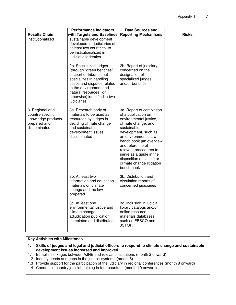|                                                                                           | <b>Performance Indicators</b>                                                                                                                                                                                                              | <b>Data Sources and</b>                                                                                                                                                                                                                                                                                                                    |              |
|-------------------------------------------------------------------------------------------|--------------------------------------------------------------------------------------------------------------------------------------------------------------------------------------------------------------------------------------------|--------------------------------------------------------------------------------------------------------------------------------------------------------------------------------------------------------------------------------------------------------------------------------------------------------------------------------------------|--------------|
| <b>Results Chain</b><br>institutionalized                                                 | with Targets and Baselines<br>sustainable development<br>developed for judiciaries of<br>at least two countries, to<br>be institutionalized in<br>judicial academies                                                                       | <b>Reporting Mechanisms</b>                                                                                                                                                                                                                                                                                                                | <b>Risks</b> |
|                                                                                           | 2b. Specialized judges<br>(through "green benches"<br>[a court or tribunal that<br>specializes in handling<br>cases and disputes related<br>to the environment and<br>natural resources] or<br>otherwise) identified in two<br>judiciaries | 2b. Report of judiciary<br>concerned on the<br>designation of<br>specialized judges<br>and/or benches                                                                                                                                                                                                                                      |              |
| 3. Regional and<br>country-specific<br>knowledge products<br>prepared and<br>disseminated | 3a. Research body of<br>materials to be used as<br>resources by judges in<br>deciding climate change<br>and sustainable<br>development issues<br>disseminated                                                                              | 3a. Report of completion<br>of a publication on<br>environmental justice,<br>climate change, and<br>sustainable<br>development, such as<br>an environmental law<br>bench book [an overview<br>and reference of<br>relevant procedures to<br>serve as a guide in the<br>disposition of cases] or<br>climate change litigation<br>bench book |              |
|                                                                                           | 3b. At least two<br>information and education<br>materials on climate<br>change and the law<br>prepared                                                                                                                                    | 3b. Distribution and<br>circulation reports of<br>concerned judiciaries                                                                                                                                                                                                                                                                    |              |
|                                                                                           | 3c. At least one<br>environmental justice and<br>climate change<br>adjudication publication<br>completed and distributed                                                                                                                   | 3c. Inclusion in judicial<br>library catalogs and/or<br>online resource<br>materials databases<br>such as EBSCO and<br><b>JSTOR</b>                                                                                                                                                                                                        |              |

#### **Key Activities with Milestones**

- **1. Skills of judges and legal and judicial officers to respond to climate change and sustainable development issues increased and improved**
- 1.1 Establish linkages between AJNE and relevant institutions (month 2 onward)
- 1.2 Identify needs and gaps in the judicial systems (month 6)
- 1.3 Provide support for the participation of the judiciary in regional conferences (month 8 onward)
- 1.4 Conduct in-country judicial training in four countries (month 10 onward)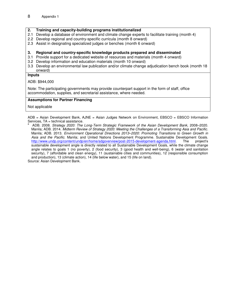#### **2. Training and capacity-building programs institutionalized**

- 2.1 Develop a database of environment and climate change experts to facilitate training (month 4)
- 2.2 Develop regional and country-specific curricula (month 8 onward)
- 2.3 Assist in designating specialized judges or benches (month 6 onward)

#### **3. Regional and country-specific knowledge products prepared and disseminated**

- 3.1 Provide support for a dedicated website of resources and materials (month 4 onward)
- 3.2 Develop information and education materials (month 10 onward)
- 3.3 Develop an environmental law publication and/or climate change adjudication bench book (month 18 onward)

#### **Inputs**

ADB: \$944,000

Note: The participating governments may provide counterpart support in the form of staff, office accommodation, supplies, and secretarial assistance, where needed.

#### **Assumptions for Partner Financing**

Not applicable

 $ADB = Asian Development Bank, AME = Asian Judges Network on Environment, EBSCO = EBSCO Information$ Services, TA = technical assistance.<br>a LADB 2009 Strategy 2020: The

ADB. 2008. *Strategy 2020: The Long-Term Strategic Framework of the Asian Development Bank, 2008-2020.* Manila; ADB. 2014. *Midterm Review of Strategy 2020: Meeting the Challenges of a Transforming Asia and Pacific*. Manila; ADB. 2013. *Environment Operational Directions 2013–2020: Promoting Transitions to Green Growth in Asia and the Pacific*. Manila; and United Nations Development Programme. Sustainable Development Goals. [http://www.undp.org/content/undp/en/home/sdgoverview/post-2015-development-agenda.html.](http://www.undp.org/content/undp/en/home/sdgoverview/post-2015-development-agenda.html) The project's sustainable development angle is directly related to all Sustainable Development Goals, while the climate change angle relates to goals 1 (no poverty), 2 (food security), 3 (good health and well-being), 6 (water and sanitation security), 7 (affordable and clean energy), 11 (sustainable cities and communities), 12 (responsible consumption and production), 13 (climate action), 14 (life below water), and 15 (life on land). Source: Asian Development Bank.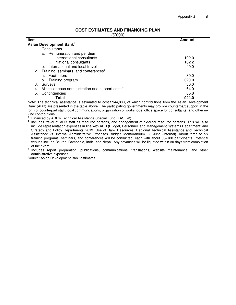#### **COST ESTIMATES AND FINANCING PLAN**

(\$'000)

| ιΨ ∪∪υ <i>ι</i><br><b>Item</b>                                    | Amount |  |  |  |
|-------------------------------------------------------------------|--------|--|--|--|
| Asian Development Bank <sup>a</sup>                               |        |  |  |  |
| Consultants                                                       |        |  |  |  |
| a. Remuneration and per diem                                      |        |  |  |  |
| International consultants                                         | 192.0  |  |  |  |
| National consultants<br>II.                                       | 182.2  |  |  |  |
| International and local travel<br>b.                              | 40.0   |  |  |  |
| 2. Training, seminars, and conferences <sup>b</sup>               |        |  |  |  |
| Facilitators<br>a.                                                | 30.0   |  |  |  |
| Training program<br>b.                                            | 320.0  |  |  |  |
| З.<br>Surveys                                                     | 30.0   |  |  |  |
| Miscellaneous administration and support costs <sup>c</sup><br>4. | 64.0   |  |  |  |
| 5.<br>Contingencies                                               | 85.8   |  |  |  |
| Total                                                             | 944.0  |  |  |  |

Note: The technical assistance is estimated to cost \$944,000, of which contributions from the Asian Development Bank (ADB) are presented in the table above. The participating governments may provide counterpart support in the form of counterpart staff, local communications, organization of workshops, office space for consultants, and other inkind contributions.<br><sup>a</sup> Einensed by ADI

 Financed by ADB's Technical Assistance Special Fund (TASF-V). b

 Includes travel of ADB staff as resource persons, and engagement of external resource persons. This will also include representation expenses in line with ADB (Budget, Personnel, and Management Systems Department; and Strategy and Policy Department). 2013. Use of Bank Resources: Regional Technical Assistance and Technical Assistance vs. Internal Administrative Expenses Budget. Memorandum. 26 June (internal). About three to six training programs, seminars, and conferences will be conducted, each with about 50–100 participants. Potential venues include Bhutan, Cambodia, India, and Nepal. Any advances will be liquated within 30 days from completion of the event.

cordicity count.<br>
Includes report preparation, publications, communications, translations, website maintenance, and other administrative expenses.

Source: Asian Development Bank estimates.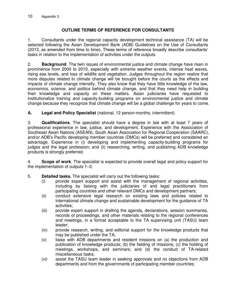## **OUTLINE TERMS OF REFERENCE FOR CONSULTANTS**

1. Consultants under the regional capacity development technical assistance (TA) will be selected following the Asian Development Bank (ADB) Guidelines on the Use of Consultants (2013, as amended from time to time). These terms of reference broadly describe consultants' tasks in relation to the implementation of activities under the outputs.

2. **Background**. The twin issues of environmental justice and climate change have risen in prominence from 2000 to 2010, especially with extreme weather events, intense heat waves, rising sea levels, and loss of wildlife and vegetation. Judges throughout the region realize that more disputes related to climate change will be brought before the courts as the effects and impacts of climate change intensify. They also know that they have little knowledge of the law, economics, science, and politics behind climate change, and that they need help in building their knowledge and capacity on these matters. Asian judiciaries have requested to institutionalize training and capacity-building programs on environmental justice and climate change because they recognize that climate change will be a global challenge for years to come.

## **A. Legal and Policy Specialist** (national, 12 person-months, intermittent)

3. **Qualifications**. The specialist should have a degree in law with at least 7 years of professional experience in law, justice, and development. Experience with the Association of Southeast Asian Nations (ASEAN), South Asian Association for Regional Cooperation (SAARC), and/or ADB's Pacific developing member countries (DMCs) will be preferred and considered an advantage. Experience in (i) developing and implementing capacity-building programs for judges and the legal profession; and (ii) researching, writing, and publishing ADB knowledge products is strongly preferred.

4. **Scope of work**. The specialist is expected to provide overall legal and policy support for the implementation of outputs 1–3.

- 5. **Detailed tasks.** The specialist will carry out the following tasks:
	- (i) provide expert support and assist with the management of regional activities, including by liaising with the judiciaries of and legal practitioners from participating countries and other relevant DMCs and development partners;
	- (ii) conduct extensive legal research on existing laws and policies related to international climate change and sustainable development for the guidance of TA activities;
	- (iii) provide expert support in drafting the agenda, declarations, session summaries, records of proceedings, and other materials relating to the regional conferences and meetings, in a format acceptable to the TA supervising unit (TASU) team leader;
	- (iv) provide research, writing, and editorial support for the knowledge products that may be published under the TA;
	- (v) liaise with ADB departments and resident missions on (a) the production and publication of knowledge products; (b) the fielding of missions; (c) the holding of meetings, workshops, and seminars; and (d) the conduct of TA-related miscellaneous tasks;
	- (vi) assist the TASU team leader in seeking approvals and no objections from ADB departments and from the governments of participating member countries;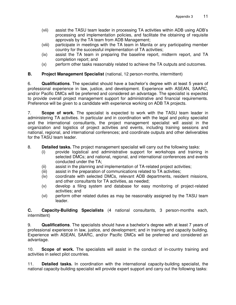- (vii) assist the TASU team leader in processing TA activities within ADB using ADB's processing and implementation policies, and facilitate the obtaining of requisite approvals by the TA team from ADB Management;
- (viii) participate in meetings with the TA team in Manila or any participating member country for the successful implementation of TA activities;
- (ix) assist the TA team in preparing the baseline report, midterm report, and TA completion report; and
- (x) perform other tasks reasonably related to achieve the TA outputs and outcomes.

#### **B. Project Management Specialist** (national, 12 person-months, intermittent)

6. **Qualifications**. The specialist should have a bachelor's degree with at least 5 years of professional experience in law, justice, and development. Experience with ASEAN, SAARC, and/or Pacific DMCs will be preferred and considered an advantage. The specialist is expected to provide overall project management support for administrative and financial requirements. Preference will be given to a candidate with experience working on ADB TA projects.

7. **Scope of work.** The specialist is expected to work with the TASU team leader in administering TA activities. In particular and in coordination with the legal and policy specialist and the international consultants, the project management specialist will assist in the organization and logistics of project activities and events, including training sessions and national, regional, and international conferences; and coordinate outputs and other deliverables for the TASU team leader.

#### 8. **Detailed tasks.** The project management specialist will carry out the following tasks:

- (i) provide logistical and administrative support for workshops and training in selected DMCs; and national, regional, and international conferences and events conducted under the TA;
- (ii) assist in the planning and implementation of TA-related project activities;
- (iii) assist in the preparation of communications related to TA activities;
- (iv) coordinate with selected DMCs, relevant ADB departments, resident missions, and other consultants for TA activities, as needed;
- (v) develop a filing system and database for easy monitoring of project-related activities; and
- (vi) perform other related duties as may be reasonably assigned by the TASU team leader.

**C. Capacity-Building Specialists** (4 national consultants, 3 person-months each, intermittent)

9. **Qualifications**. The specialists should have a bachelor's degree with at least 7 years of professional experience in law, justice, and development; and in training and capacity building. Experience with ASEAN, SAARC, and/or Pacific DMCs will be preferred and considered an advantage.

10. **Scope of work.** The specialists will assist in the conduct of in-country training and activities in select pilot countries.

11. **Detailed tasks.** In coordination with the international capacity-building specialist, the national capacity-building specialist will provide expert support and carry out the following tasks: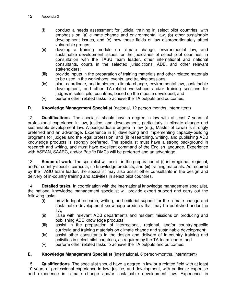- (i) conduct a needs assessment for judicial training in select pilot countries, with emphasis on (a) climate change and environmental law, (b) other sustainable development issues, and (c) how these fields of law disproportionately affect vulnerable groups;
- (ii) develop a training module on climate change, environmental law, and sustainable development issues for the judiciaries of select pilot countries, in consultation with the TASU team leader, other international and national consultants, courts in the selected jurisdictions, ADB, and other relevant stakeholders;
- (iii) provide inputs in the preparation of training materials and other related materials to be used in the workshops, events, and training sessions;
- (iv) plan, coordinate, and implement climate change, environmental law, sustainable development, and other TA-related workshops and/or training sessions for judges in select pilot countries, based on the module developed; and
- (v) perform other related tasks to achieve the TA outputs and outcomes.

## **D. Knowledge Management Specialist** (national, 12 person-months, intermittent)

12. **Qualifications**. The specialist should have a degree in law with at least 7 years of professional experience in law, justice, and development, particularly in climate change and sustainable development law. A postgraduate degree in law (e.g., Master of Laws) is strongly preferred and an advantage. Experience in (i) developing and implementing capacity-building programs for judges and the legal profession; and (ii) researching, writing, and publishing ADB knowledge products is strongly preferred. The specialist must have a strong background in research and writing, and must have excellent command of the English language. Experience with ASEAN, SAARC, and/or Pacific DMCs will be preferred and an advantage.

13. **Scope of work.** The specialist will assist in the preparation of (i) interregional, regional, and/or country-specific curricula; (ii) knowledge products; and (iii) training materials. As required by the TASU team leader, the specialist may also assist other consultants in the design and delivery of in-country training and activities in select pilot countries.

14. **Detailed tasks.** In coordination with the international knowledge management specialist, the national knowledge management specialist will provide expert support and carry out the following tasks:

- (i) provide legal research, writing, and editorial support for the climate change and sustainable development knowledge products that may be published under the TA;
- (ii) liaise with relevant ADB departments and resident missions on producing and publishing ADB knowledge products;
- (iii) assist in the preparation of interregional, regional, and/or country-specific curricula and training materials on climate change and sustainable development;
- (iv) assist other consultants in the design and delivery of in-country training and activities in select pilot countries, as required by the TA team leader; and
- (v) perform other related tasks to achieve the TA outputs and outcomes.

## **E. Knowledge Management Specialist** (international, 6 person-months, intermittent)

15. **Qualifications**. The specialist should have a degree in law or a related field with at least 10 years of professional experience in law, justice, and development, with particular expertise and experience in climate change and/or sustainable development law. Experience in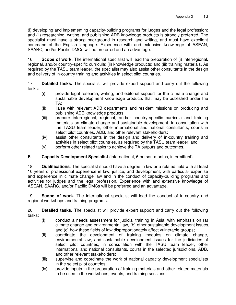(i) developing and implementing capacity-building programs for judges and the legal profession; and (ii) researching, writing, and publishing ADB knowledge products is strongly preferred. The specialist must have a strong background in research and writing, and must have excellent command of the English language. Experience with and extensive knowledge of ASEAN, SAARC, and/or Pacific DMCs will be preferred and an advantage.

16. **Scope of work.** The international specialist will lead the preparation of (i) interregional, regional, and/or country-specific curricula; (ii) knowledge products; and (iii) training materials. As required by the TASU team leader, the specialist may also assist other consultants in the design and delivery of in-country training and activities in select pilot countries.

17. **Detailed tasks.** The specialist will provide expert support and carry out the following tasks:

- (i) provide legal research, writing, and editorial support for the climate change and sustainable development knowledge products that may be published under the TA;
- (ii) liaise with relevant ADB departments and resident missions on producing and publishing ADB knowledge products;
- (iii) prepare interregional, regional, and/or country-specific curricula and training materials on climate change and sustainable development, in consultation with the TASU team leader, other international and national consultants, courts in select pilot countries, ADB, and other relevant stakeholders;
- (iv) assist other consultants in the design and delivery of in-country training and activities in select pilot countries, as required by the TASU team leader; and
- (v) perform other related tasks to achieve the TA outputs and outcomes.

# **F. Capacity Development Specialist** (international, 6 person-months, intermittent)

18. **Qualifications**. The specialist should have a degree in law or a related field with at least 10 years of professional experience in law, justice, and development, with particular expertise and experience in climate change law and in the conduct of capacity-building programs and activities for judges and the legal profession. Experience with and extensive knowledge of ASEAN, SAARC, and/or Pacific DMCs will be preferred and an advantage.

19. **Scope of work.** The international specialist will lead the conduct of in-country and regional workshops and training programs.

20. **Detailed tasks.** The specialist will provide expert support and carry out the following tasks:

- (i) conduct a needs assessment for judicial training in Asia, with emphasis on (a) climate change and environmental law, (b) other sustainable development issues, and (c) how these fields of law disproportionately affect vulnerable groups;
- (ii) coordinate the development of training modules on climate change, environmental law, and sustainable development issues for the judiciaries of select pilot countries, in consultation with the TASU team leader, other international and national consultants, courts in the selected jurisdictions, ADB, and other relevant stakeholders;
- (iii) supervise and coordinate the work of national capacity development specialists in the select pilot countries;
- (iv) provide inputs in the preparation of training materials and other related materials to be used in the workshops, events, and training sessions;